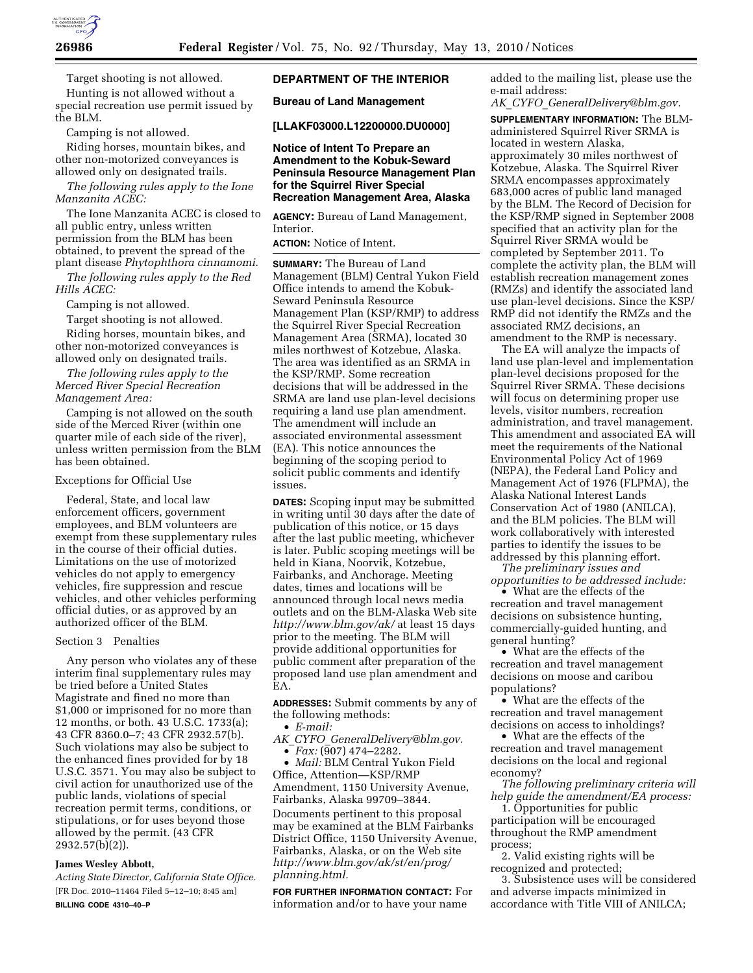

Target shooting is not allowed. Hunting is not allowed without a special recreation use permit issued by the BLM.

Camping is not allowed.

Riding horses, mountain bikes, and other non-motorized conveyances is allowed only on designated trails.

*The following rules apply to the Ione Manzanita ACEC:* 

The Ione Manzanita ACEC is closed to all public entry, unless written permission from the BLM has been obtained, to prevent the spread of the plant disease *Phytophthora cinnamomi.* 

*The following rules apply to the Red Hills ACEC:* 

Camping is not allowed.

Target shooting is not allowed.

Riding horses, mountain bikes, and other non-motorized conveyances is allowed only on designated trails.

*The following rules apply to the Merced River Special Recreation Management Area:* 

Camping is not allowed on the south side of the Merced River (within one quarter mile of each side of the river), unless written permission from the BLM has been obtained.

### Exceptions for Official Use

Federal, State, and local law enforcement officers, government employees, and BLM volunteers are exempt from these supplementary rules in the course of their official duties. Limitations on the use of motorized vehicles do not apply to emergency vehicles, fire suppression and rescue vehicles, and other vehicles performing official duties, or as approved by an authorized officer of the BLM.

#### Section 3 Penalties

Any person who violates any of these interim final supplementary rules may be tried before a United States Magistrate and fined no more than \$1,000 or imprisoned for no more than 12 months, or both. 43 U.S.C. 1733(a); 43 CFR 8360.0–7; 43 CFR 2932.57(b). Such violations may also be subject to the enhanced fines provided for by 18 U.S.C. 3571. You may also be subject to civil action for unauthorized use of the public lands, violations of special recreation permit terms, conditions, or stipulations, or for uses beyond those allowed by the permit. (43 CFR 2932.57(b)(2)).

### **James Wesley Abbott,**

*Acting State Director, California State Office.*  [FR Doc. 2010–11464 Filed 5–12–10; 8:45 am] **BILLING CODE 4310–40–P** 

#### **DEPARTMENT OF THE INTERIOR**

**Bureau of Land Management** 

### **[LLAKF03000.L12200000.DU0000]**

**Notice of Intent To Prepare an Amendment to the Kobuk-Seward Peninsula Resource Management Plan for the Squirrel River Special Recreation Management Area, Alaska** 

**AGENCY:** Bureau of Land Management, Interior.

# **ACTION:** Notice of Intent.

**SUMMARY:** The Bureau of Land Management (BLM) Central Yukon Field Office intends to amend the Kobuk-Seward Peninsula Resource Management Plan (KSP/RMP) to address the Squirrel River Special Recreation Management Area (SRMA), located 30 miles northwest of Kotzebue, Alaska. The area was identified as an SRMA in the KSP/RMP. Some recreation decisions that will be addressed in the SRMA are land use plan-level decisions requiring a land use plan amendment. The amendment will include an associated environmental assessment (EA). This notice announces the beginning of the scoping period to solicit public comments and identify issues.

**DATES:** Scoping input may be submitted in writing until 30 days after the date of publication of this notice, or 15 days after the last public meeting, whichever is later. Public scoping meetings will be held in Kiana, Noorvik, Kotzebue, Fairbanks, and Anchorage. Meeting dates, times and locations will be announced through local news media outlets and on the BLM-Alaska Web site *http://www.blm.gov/ak/* at least 15 days prior to the meeting. The BLM will provide additional opportunities for public comment after preparation of the proposed land use plan amendment and EA.

**ADDRESSES:** Submit comments by any of the following methods:

• *E-mail:* 

- *AK*\_*CYFO*\_*GeneralDelivery@blm.gov.* 
	- *Fax:* (907) 474–2282.

• *Mail:* BLM Central Yukon Field Office, Attention—KSP/RMP Amendment, 1150 University Avenue, Fairbanks, Alaska 99709–3844. Documents pertinent to this proposal may be examined at the BLM Fairbanks District Office, 1150 University Avenue, Fairbanks, Alaska, or on the Web site *http://www.blm.gov/ak/st/en/prog/ planning.html.* 

**FOR FURTHER INFORMATION CONTACT:** For information and/or to have your name

added to the mailing list, please use the e-mail address:

*AK*\_*CYFO*\_*GeneralDelivery@blm.gov.* 

**SUPPLEMENTARY INFORMATION:** The BLMadministered Squirrel River SRMA is located in western Alaska, approximately 30 miles northwest of Kotzebue, Alaska. The Squirrel River SRMA encompasses approximately 683,000 acres of public land managed by the BLM. The Record of Decision for the KSP/RMP signed in September 2008 specified that an activity plan for the Squirrel River SRMA would be completed by September 2011. To complete the activity plan, the BLM will establish recreation management zones (RMZs) and identify the associated land use plan-level decisions. Since the KSP/ RMP did not identify the RMZs and the associated RMZ decisions, an amendment to the RMP is necessary.

The EA will analyze the impacts of land use plan-level and implementation plan-level decisions proposed for the Squirrel River SRMA. These decisions will focus on determining proper use levels, visitor numbers, recreation administration, and travel management. This amendment and associated EA will meet the requirements of the National Environmental Policy Act of 1969 (NEPA), the Federal Land Policy and Management Act of 1976 (FLPMA), the Alaska National Interest Lands Conservation Act of 1980 (ANILCA), and the BLM policies. The BLM will work collaboratively with interested parties to identify the issues to be addressed by this planning effort.

*The preliminary issues and opportunities to be addressed include:* 

• What are the effects of the recreation and travel management decisions on subsistence hunting, commercially-guided hunting, and general hunting?

• What are the effects of the recreation and travel management decisions on moose and caribou populations?

• What are the effects of the recreation and travel management decisions on access to inholdings?

• What are the effects of the recreation and travel management decisions on the local and regional economy?

*The following preliminary criteria will help guide the amendment/EA process:* 

1. Opportunities for public participation will be encouraged throughout the RMP amendment process;

2. Valid existing rights will be recognized and protected;

3. Subsistence uses will be considered and adverse impacts minimized in accordance with Title VIII of ANILCA;